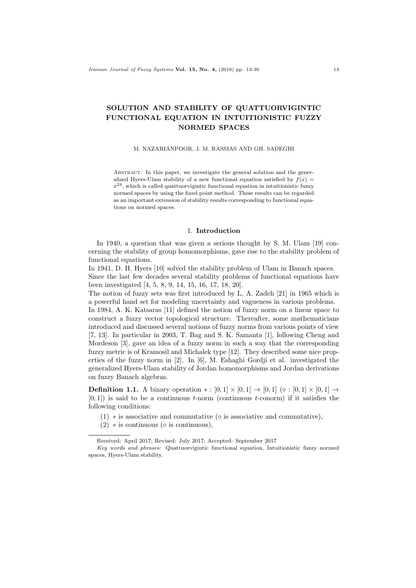# SOLUTION AND STABILITY OF QUATTUORVIGINTIC FUNCTIONAL EQUATION IN INTUITIONISTIC FUZZY NORMED SPACES

### M. NAZARIANPOOR, J. M. RASSIAS AND GH. SADEGHI

ABSTRACT. In this paper, we investigate the general solution and the generalized Hyers-Ulam stability of a new functional equation satisfied by  $f(x) =$  $x^{24}$ , which is called quattuorvigintic functional equation in intuitionistic fuzzy normed spaces by using the fixed point method. These results can be regarded as an important extension of stability results corresponding to functional equations on normed spaces.

#### 1. Introduction

In 1940, a question that was given a serious thought by S. M. Ulam [19] concerning the stability of group homomorphisms, gave rise to the stability problem of functional equations.

In 1941, D. H. Hyers [10] solved the stability problem of Ulam in Banach spaces. Since the last few decades several stability problems of functional equations have been investigated [4, 5, 8, 9, 14, 15, 16, 17, 18, 20].

The notion of fuzzy sets was first introduced by L. A. Zadeh [21] in 1965 which is a powerful hand set for modeling uncertainty and vagueness in various problems.

In 1984, A. K. Katsaras [11] defined the notion of fuzzy norm on a linear space to construct a fuzzy vector topological structure. Thereafter, some mathematicians introduced and discussed several notions of fuzzy norms from various points of view [7, 13]. In particular in 2003, T. Bag and S. K. Samanta [1], following Cheng and Mordeson [3], gave an idea of a fuzzy norm in such a way that the corresponding fuzzy metric is of Kramosil and Michalek type [12]. They described some nice properties of the fuzzy norm in [2]. In [6], M. Eshaghi Gordji et al. investigated the generalized Hyers-Ulam stability of Jordan homomorphisms and Jordan derivations on fuzzy Banach algebras.

**Definition 1.1.** A binary operation  $* : [0,1] \times [0,1] \rightarrow [0,1] \times [0,1] \times [0,1] \rightarrow$  $[0, 1]$ ) is said to be a continuous t-norm (continuous t-conorm) if it satisfies the following conditions:

- (1)  $*$  is associative and commutative ( $\diamond$  is associative and commutative),
- $(2)$  \* is continuous ( $\diamond$  is continuous),

Received: April 2017; Revised: July 2017; Accepted: September 2017

Key words and phrases: Quattuorvigintic functional equation, Intuitionistic fuzzy normed spaces, Hyers-Ulam stability.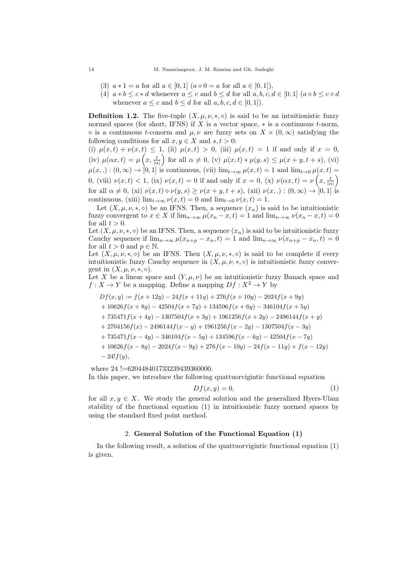- (3)  $a * 1 = a$  for all  $a \in [0, 1]$   $(a \diamond 0 = a$  for all  $a \in [0, 1]$ ,
- (4)  $a * b \leq c * d$  whenever  $a \leq c$  and  $b \leq d$  for all  $a, b, c, d \in [0, 1]$   $(a \diamond b \leq c \diamond d$ whenever  $a \leq c$  and  $b \leq d$  for all  $a, b, c, d \in [0, 1]$ .

**Definition 1.2.** The five-tuple  $(X, \mu, \nu, \ast, \diamond)$  is said to be an intuitionistic fuzzy normed spaces (for short, IFNS) if X is a vector space,  $*$  is a continuous  $t$ -norm,  $\Diamond$  is a continuous t-conorm and  $\mu, \nu$  are fuzzy sets on  $X \times (0, \infty)$  satisfying the following conditions for all  $x, y \in X$  and  $s, t > 0$ :

(i)  $\mu(x,t) + \nu(x,t) \leq 1$ , (ii)  $\mu(x,t) > 0$ , (iii)  $\mu(x,t) = 1$  if and only if  $x = 0$ , (iv)  $\mu(\alpha x, t) = \mu\left(x, \frac{t}{|\alpha|}\right)$  for all  $\alpha \neq 0$ , (v)  $\mu(x, t) * \mu(y, s) \leq \mu(x + y, t + s)$ , (vi)  $\mu(x,.) : (0, \infty) \to [0, 1]$  is continuous, (vii)  $\lim_{t \to \infty} \mu(x, t) = 1$  and  $\lim_{t \to 0} \mu(x, t) =$ 0, (viii)  $\nu(x,t) < 1$ , (ix)  $\nu(x,t) = 0$  if and only if  $x = 0$ , (x)  $\nu(\alpha x, t) = \nu\left(x, \frac{t}{|\alpha|}\right)$ for all  $\alpha \neq 0$ , (xi)  $\nu(x, t) \diamond \nu(y, s) \geq \nu(x + y, t + s)$ , (xii)  $\nu(x, .) : (0, \infty) \rightarrow [0, 1]$  is continuous, (xiii)  $\lim_{t\to\infty} \nu(x,t) = 0$  and  $\lim_{t\to 0} \nu(x,t) = 1$ .

Let  $(X, \mu, \nu, \ast, \diamond)$  be an IFNS. Then, a sequence  $(x_n)$  is said to be intuitionistic fuzzy convergent to  $x \in X$  if  $\lim_{n\to\infty} \mu(x_n - x, t) = 1$  and  $\lim_{n\to\infty} \nu(x_n - x, t) = 0$ for all  $t > 0$ .

Let  $(X, \mu, \nu, \ast, \diamond)$  be an IFNS. Then, a sequence  $(x_n)$  is said to be intuitionistic fuzzy Cauchy sequence if  $\lim_{n\to\infty}\mu(x_{n+p}-x_n,t)=1$  and  $\lim_{n\to\infty}\nu(x_{n+p}-x_n,t)=0$ for all  $t > 0$  and  $p \in \mathbb{N}$ .

Let  $(X, \mu, \nu, \ast, \diamond)$  be an IFNS. Then  $(X, \mu, \nu, \ast, \diamond)$  is said to be complete if every intuitionistic fuzzy Cauchy sequence in  $(X, \mu, \nu, \ast, \diamond)$  is intuitionistic fuzzy convergent in  $(X, \mu, \nu, \ast, \diamond).$ 

Let X be a linear space and  $(Y, \mu, \nu)$  be an intuitionistic fuzzy Banach space and  $f: X \to Y$  be a mapping. Define a mapping  $Df: X^2 \to Y$  by

$$
Df(x, y) := f(x + 12y) - 24f(x + 11y) + 276f(x + 10y) - 2024f(x + 9y)
$$
  
+ 10626f(x + 8y) - 42504f(x + 7y) + 134596f(x + 6y) - 346104f(x + 5y)  
+ 735471f(x + 4y) - 1307504f(x + 3y) + 1961256f(x + 2y) - 2496144f(x + y)  
+ 2704156f(x) - 2496144f(x - y) + 1961256f(x - 2y) - 1307504f(x - 3y)  
+ 735471f(x - 4y) - 346104f(x - 5y) + 134596f(x - 6y) - 42504f(x - 7y)  
+ 10626f(x - 8y) - 2024f(x - 9y) + 276f(x - 10y) - 24f(x - 11y) + f(x - 12y)  
- 24!f(y),

where 24 !=620448401733239439360000. In this paper, we introduce the following quattuorvigintic functional equation

$$
Df(x, y) = 0,\t\t(1)
$$

for all  $x, y \in X$ . We study the general solution and the generalized Hyers-Ulam stability of the functional equation (1) in intuitionistic fuzzy normed spaces by using the standard fixed point method.

### 2. General Solution of the Functional Equation (1)

In the following result, a solution of the quattuorvigintic functional equation (1) is given.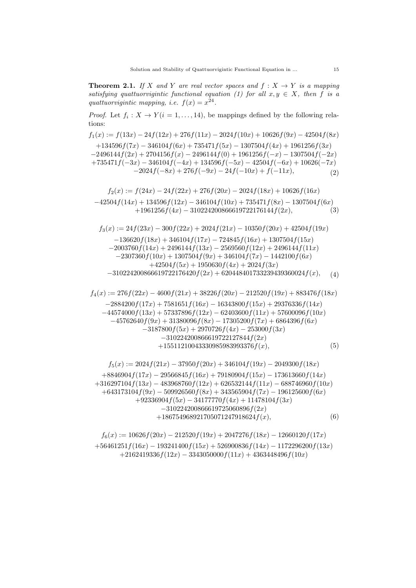**Theorem 2.1.** If X and Y are real vector spaces and  $f: X \rightarrow Y$  is a mapping satisfying quattuorvigintic functional equation (1) for all  $x, y \in X$ , then f is a quattuorvigintic mapping, i.e.  $f(x) = x^{24}$ .

*Proof.* Let  $f_i: X \to Y (i = 1, ..., 14)$ , be mappings defined by the following relations:

$$
f_1(x) := f(13x) - 24f(12x) + 276f(11x) - 2024f(10x) + 10626f(9x) - 42504f(8x)
$$
  
+134596f(7x) - 346104f(6x) + 735471f(5x) - 1307504f(4x) + 1961256f(3x)  
-2496144f(2x) + 2704156f(x) - 2496144f(0) + 1961256f(-x) - 1307504f(-2x)  
+735471f(-3x) - 346104f(-4x) + 134596f(-5x) - 42504f(-6x) + 10626(-7x)  
-2024f(-8x) + 276f(-9x) - 24f(-10x) + f(-11x), (2)

$$
f_2(x) := f(24x) - 24f(22x) + 276f(20x) - 2024f(18x) + 10626f(16x)
$$
  
-42504f(14x) + 134596f(12x) - 346104f(10x) + 735471f(8x) - 1307504f(6x)  
+1961256f(4x) - 310224200866619722176144f(2x), (3)

$$
f_3(x) := 24f(23x) - 300f(22x) + 2024f(21x) - 10350f(20x) + 42504f(19x)
$$
  
\n
$$
-136620f(18x) + 346104f(17x) - 724845f(16x) + 1307504f(15x)
$$
  
\n
$$
-2003760f(14x) + 2496144f(13x) - 2569560f(12x) + 2496144f(11x)
$$
  
\n
$$
-2307360f(10x) + 1307504f(9x) + 346104f(7x) - 1442100f(6x)
$$
  
\n
$$
+42504f(5x) + 1950630f(4x) + 2024f(3x)
$$
  
\n
$$
-310224200866619722176420f(2x) + 620448401733239439360024f(x), (4)
$$

$$
f_4(x) := 276f(22x) - 4600f(21x) + 38226f(20x) - 212520f(19x) + 883476f(18x)
$$
  
\n
$$
-2884200f(17x) + 7581651f(16x) - 16343800f(15x) + 29376336f(14x)
$$
  
\n
$$
-44574000f(13x) + 57337896f(12x) - 62403600f(11x) + 57600096f(10x)
$$
  
\n
$$
-45762640f(9x) + 31380096f(8x) - 17305200f(7x) + 6864396f(6x)
$$
  
\n
$$
-3187800f(5x) + 2970726f(4x) - 253000f(3x)
$$
  
\n
$$
-310224200866619722127844f(2x)
$$
  
\n
$$
+15511210043330985983993376f(x),
$$
  
\n
$$
f_5(x) := 2024f(21x) - 37950f(20x) + 346104f(19x) - 2049300f(18x)
$$
  
\n+8846904f(17x) - 29566845f(16x) + 79180904f(15x) - 173613660f(14x)

$$
+316297104f(13x) - 483968760f(12x) + 626532144f(11x) - 688746960f(10x) +643173104f(9x) - 509926560f(8x) + 343565904f(7x) - 196125600f(6x) +92336904f(5x) - 34177770f(4x) + 11478104f(3x) -310224200866619725060896f(2x) +186754968921705071247918624f(x), \t(6)
$$

$$
f_6(x) := 10626f(20x) - 212520f(19x) + 2047276f(18x) - 12660120f(17x)
$$
  
+56461251f(16x) - 193241400f(15x) + 526900836f(14x) - 1172296200f(13x)  
+2162419336f(12x) - 3343050000f(11x) + 4363448496f(10x)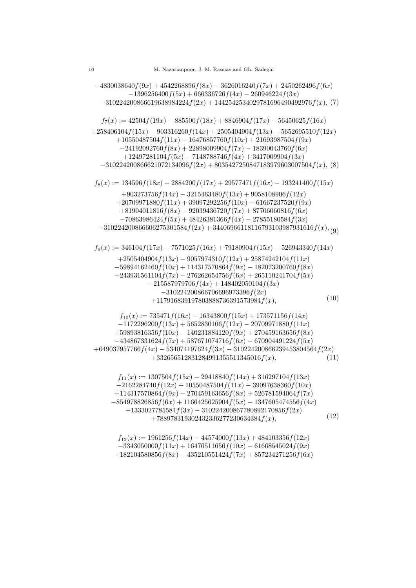$-4830038640f(9x) + 4542268896f(8x) - 3626016240f(7x) + 2450262496f(6x)$  $-1396256400f(5x) + 666336726f(4x) - 260946224f(3x)$  $-310224200866619638984224f(2x) + 1442542534029781696490492976f(x), (7)$  $f_7(x) := 42504 f(19x) - 885500 f(18x) + 8846904 f(17x) - 56450625 f(16x)$  $+258406104f(15x) - 903316260f(14x) + 2505404904f(13x) - 5652695510f(12x)$  $+10550487504f(11x) - 16476857760f(10x) + 21693987504f(9x)$  $-24192092760f(8x) + 22898009904f(7x) - 18390043760f(6x)$  $+12497281104f(5x) - 7148788746f(4x) + 3417009904f(3x)$  $-310224200866621072134096f(2x) + 8035427250847183979603007504f(x)$ , (8)  $f_8(x) := 134596f(18x) - 2884200f(17x) + 29577471f(16x) - 193241400f(15x)$  $+903273756f(14x) - 3215463480f(13x) + 9058108906f(12x)$  $-20709971880f(11x) + 39097292256f(10x) - 61667237520f(9x)$  $+81904011816f(8x) - 92039436720f(7x) + 87706060816f(6x)$  $-70863986424f(5x) + 48426381366f(4x) - 27855180584f(3x)$  $-310224200866606275301584f(2x) + 34406966118116793103987931616f(x), (9)$  $f_9(x) := 346104 f(17x) - 7571025 f(16x) + 79180904 f(15x) - 526943340 f(14x)$  $+2505404904f(13x) - 9057974310f(12x) + 25874242104f(11x)$  $-59894162460f(10x) + 114317570864f(9x) - 182073200760f(8x)$  $+243931561104f(7x) - 276262654756f(6x) + 265110241704f(5x)$  $-215587979706f(4x) + 148402050104f(3x)$  $-310224200866706696973396f(2x)$  $+117916839197803888736391573984f(x),$ (10)  $f_{10}(x) := 735471f(16x) - 16343800f(15x) + 173571156f(14x)$  $-1172296200f(13x) + 5652830106f(12x) - 20709971880f(11x)$  $+59893816356f(10x) - 140231884120f(9x) + 270459163656f(8x)$  $-434867331624f(7x) + 587671074716f(6x) - 670904491224f(5x)$  $+649037957766f(4x) - 534074197624f(3x) - 310224200866239453804564f(2x)$ <br> $+332656512831284991355511345016f(x).$  (11)  $+332656512831284991355511345016 f(x),$  $f_{11}(x) := 1307504f(15x) - 29418840f(14x) + 316297104f(13x)$  $-2162284740f(12x) + 10550487504f(11x) - 39097638360f(10x)$  $+114317570864f(9x) - 270459163656f(8x) + 526781594064f(7x)$  $-854978826856f(6x) + 1166425625904f(5x) - 1347605474556f(4x)$  $+1333027785584f(3x) - 310224200867780892170856f(2x)$  $+788978319302432336277230634384f(x),$ (12)  $f_{12}(x) := 1961256f(14x) - 44574000f(13x) + 484103356f(12x)$  $-3343050000f(11x) + 16476511656f(10x) - 61668545024f(9x)$ 

 $+182104580856f(8x) - 435210551424f(7x) + 857234271256f(6x)$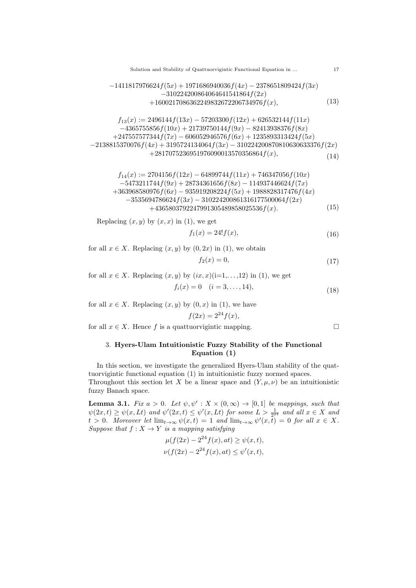Solution and Stability of Quattuorvigintic Functional Equation in ... 17

$$
-1411817976624f(5x) + 1971686940036f(4x) - 2378651809424f(3x) -310224200864064641541864f(2x) +1600217086362249832672206734976f(x),
$$
(13)

$$
f_{13}(x) := 2496144f(13x) - 57203300f(12x) + 626532144f(11x) -4365755856f(10x) + 21739750144f(9x) - 82413938376f(8x) +247557577344f(7x) - 606052946576f(6x) + 1235893313424f(5x) -2138815370076f(4x) + 3195724134064f(3x) - 310224200870810630633376f(2x) +2817075236951976090013570356864f(x), (14)
$$

$$
f_{14}(x) := 2704156f(12x) - 64899744f(11x) + 746347056f(10x)
$$
  
\n
$$
-5473211744f(9x) + 28734361656f(8x) - 114937446624f(7x)
$$
  
\n
$$
+363968580976f(6x) - 935919208224f(5x) + 1988828317476f(4x)
$$
  
\n
$$
-3535694786624f(3x) - 310224200861316177500064f(2x)
$$
  
\n
$$
+4365803792247991305489858025536f(x).
$$
 (15)

Replacing  $(x, y)$  by  $(x, x)$  in  $(1)$ , we get

$$
f_1(x) = 24! f(x),
$$
\n(16)

for all  $x \in X$ . Replacing  $(x, y)$  by  $(0, 2x)$  in  $(1)$ , we obtain

$$
f_2(x) = 0,\tag{17}
$$

for all  $x \in X$ . Replacing  $(x, y)$  by  $(ix, x)(i=1,...,12)$  in (1), we get  $f_i(x) = 0 \quad (i = 3, \ldots, 14),$ (18)

for all  $x \in X$ . Replacing  $(x, y)$  by  $(0, x)$  in  $(1)$ , we have

$$
f(2x) = 2^{24} f(x),
$$

for all  $x \in X$ . Hence f is a quattuorvigintic mapping.

## 3. Hyers-Ulam Intuitionistic Fuzzy Stability of the Functional Equation (1)

In this section, we investigate the generalized Hyers-Ulam stability of the quattuorvigintic functional equation (1) in intuitionistic fuzzy normed spaces. Throughout this section let X be a linear space and  $(Y, \mu, \nu)$  be an intuitionistic fuzzy Banach space.

**Lemma 3.1.** Fix  $a > 0$ . Let  $\psi, \psi' : X \times (0, \infty) \to [0, 1]$  be mappings, such that  $\psi(2x,t) \geq \psi(x,Lt)$  and  $\psi'(2x,t) \leq \psi'(x,Lt)$  for some  $L > \frac{1}{2^{24}}$  and all  $x \in X$  and  $t > 0$ . Moreover let  $\lim_{t \to \infty} \psi(x, t) = 1$  and  $\lim_{t \to \infty} \psi'(x, \overline{t}) = 0$  for all  $x \in X$ . Suppose that  $f: X \to Y$  is a mapping satisfying

$$
\mu(f(2x) - 2^{24}f(x), at) \ge \psi(x, t),
$$
  

$$
\nu(f(2x) - 2^{24}f(x), at) \le \psi'(x, t),
$$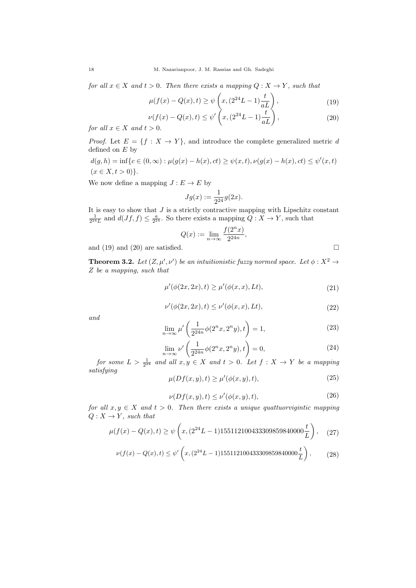for all  $x \in X$  and  $t > 0$ . Then there exists a mapping  $Q: X \to Y$ , such that

$$
\mu(f(x) - Q(x), t) \ge \psi\left(x, \left(2^{24}L - 1\right)\frac{t}{aL}\right),\tag{19}
$$

$$
\nu(f(x) - Q(x), t) \le \psi' \left(x, \left(2^{24}L - 1\right)\frac{t}{aL}\right),\tag{20}
$$

for all  $x \in X$  and  $t > 0$ .

*Proof.* Let  $E = \{f : X \to Y\}$ , and introduce the complete generalized metric d defined on  $E$  by

$$
d(g, h) = \inf \{ c \in (0, \infty) : \mu(g(x) - h(x), ct) \ge \psi(x, t), \nu(g(x) - h(x), ct) \le \psi'(x, t) \}
$$
  
(x \in X, t > 0).

We now define a mapping  $J: E \to E$  by

$$
Jg(x) := \frac{1}{2^{24}}g(2x).
$$

It is easy to show that  $J$  is a strictly contractive mapping with Lipschitz constant  $\frac{1}{2^{24}L}$  and  $d(Jf, f) \leq \frac{a}{2^{24}}$ . So there exists a mapping  $Q: X \to Y$ , such that

$$
Q(x) := \lim_{n \to \infty} \frac{f(2^n x)}{2^{24n}},
$$

and (19) and (20) are satisfied.  $\square$ 

**Theorem 3.2.** Let  $(Z, \mu', \nu')$  be an intuitionistic fuzzy normed space. Let  $\phi : X^2 \to Y$ Z be a mapping, such that

$$
\mu'(\phi(2x, 2x), t) \ge \mu'(\phi(x, x), Lt),
$$
\n(21)

$$
\nu'(\phi(2x, 2x), t) \le \nu'(\phi(x, x), Lt),\tag{22}
$$

and

$$
\lim_{n \to \infty} \mu' \left( \frac{1}{2^{24n}} \phi(2^n x, 2^n y), t \right) = 1,
$$
\n(23)

$$
\lim_{n \to \infty} \nu' \left( \frac{1}{2^{24n}} \phi(2^n x, 2^n y), t \right) = 0,
$$
\n(24)

for some  $L > \frac{1}{2^{24}}$  and all  $x, y \in X$  and  $t > 0$ . Let  $f : X \to Y$  be a mapping satisfying

$$
\mu(Df(x,y),t) \ge \mu'(\phi(x,y),t),\tag{25}
$$

$$
\nu(Df(x,y),t) \le \nu'(\phi(x,y),t),\tag{26}
$$

for all  $x, y \in X$  and  $t > 0$ . Then there exists a unique quattuorvigintic mapping  $Q: X \rightarrow Y$ , such that

$$
\mu(f(x) - Q(x), t) \ge \psi\left(x, (2^{24}L - 1)155112100433309859840000 \frac{t}{L}\right), \quad (27)
$$

$$
\nu(f(x) - Q(x), t) \le \psi' \left(x, (2^{24}L - 1)155112100433309859840000 \frac{t}{L}\right),\tag{28}
$$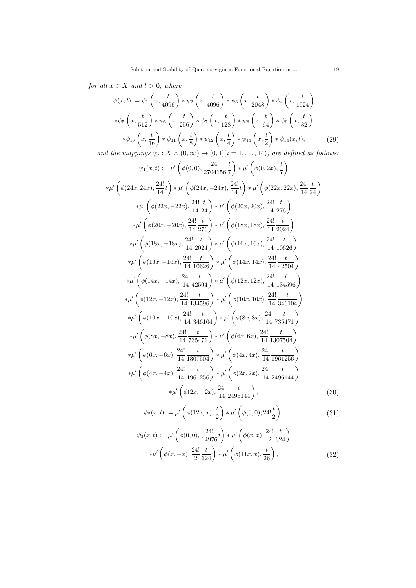for all  $x \in X$  and  $t > 0$ , where

$$
\psi(x,t) := \psi_1\left(x, \frac{t}{4096}\right) * \psi_2\left(x, \frac{t}{4096}\right) * \psi_3\left(x, \frac{t}{2048}\right) * \psi_4\left(x, \frac{t}{1024}\right)
$$
  
\n
$$
*\psi_5\left(x, \frac{t}{512}\right) * \psi_6\left(x, \frac{t}{256}\right) * \psi_7\left(x, \frac{t}{128}\right) * \psi_8\left(x, \frac{t}{64}\right) * \psi_9\left(x, \frac{t}{32}\right)
$$
  
\n
$$
*\psi_{10}\left(x, \frac{t}{16}\right) * \psi_{11}\left(x, \frac{t}{8}\right) * \psi_{12}\left(x, \frac{t}{4}\right) * \psi_{13}\left(x, \frac{t}{2}\right) * \psi_{14}(x, t),
$$
 (29)

and the mappings  $\psi_i : X \times (0, \infty) \to [0, 1]$  $(i = 1, \ldots, 14)$ , are defined as follows:

$$
\psi_1(x,t) := \mu' \left( \phi(0,0), \frac{24!}{2704156} \frac{t}{7} \right) * \mu' \left( \phi(0,2x), \frac{t}{7} \right)
$$
  
\n
$$
*\mu' \left( \phi(24x, 24x), \frac{24!}{14} t \right) * \mu' \left( \phi(24x, -24x), \frac{24!}{14} t \right) * \mu' \left( \phi(22x, 22x), \frac{24!}{14} \frac{t}{24} \right)
$$
  
\n
$$
*\mu' \left( \phi(22x, -22x), \frac{24!}{14} \frac{t}{24} \right) * \mu' \left( \phi(20x, 20x), \frac{24!}{14} \frac{t}{276} \right)
$$
  
\n
$$
*\mu' \left( \phi(20x, -20x), \frac{24!}{14} \frac{t}{276} \right) * \mu' \left( \phi(18x, 18x), \frac{24!}{14} \frac{t}{2024} \right)
$$
  
\n
$$
*\mu' \left( \phi(18x, -18x), \frac{24!}{14} \frac{t}{2024} \right) * \mu' \left( \phi(16x, 16x), \frac{24!}{14} \frac{t}{10626} \right)
$$
  
\n
$$
*\mu' \left( \phi(16x, -16x), \frac{24!}{14} \frac{t}{10626} \right) * \mu' \left( \phi(14x, 14x), \frac{24!}{14} \frac{t}{42504} \right)
$$
  
\n
$$
*\mu' \left( \phi(14x, -14x), \frac{24!}{14} \frac{t}{42504} \right) * \mu' \left( \phi(12x, 12x), \frac{24!}{14} \frac{t}{143506} \right)
$$
  
\n
$$
*\mu' \left( \phi(12x, -12x), \frac{24!}{14} \frac{t}{143506} \right) * \mu' \left( \phi(10x, 10x), \frac{24!}{14} \frac{t}{143506} \right)
$$

$$
\psi_2(x,t) := \mu' \left( \phi(12x,x), \frac{t}{2} \right) * \mu' \left( \phi(0,0), 24! \frac{t}{2} \right), \tag{31}
$$

$$
\psi_3(x,t) := \mu' \left( \phi(0,0), \frac{24!}{14976} t \right) * \mu' \left( \phi(x,x), \frac{24!}{2} \frac{t}{624} \right)
$$
  

$$
*\mu' \left( \phi(x,-x), \frac{24!}{2} \frac{t}{624} \right) * \mu' \left( \phi(11x,x), \frac{t}{26} \right),
$$
 (32)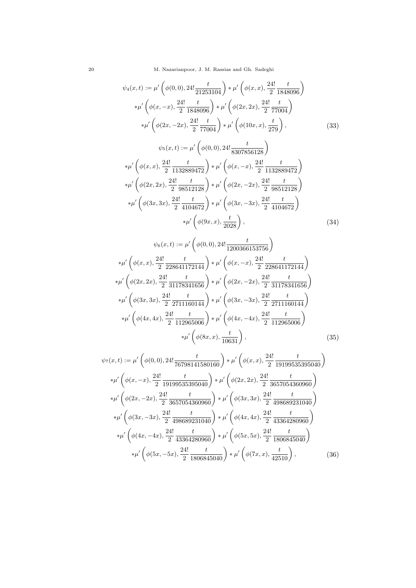20 M. Nazarianpoor, J. M. Rassias and Gh. Sadeghi

$$
\psi_4(x,t) := \mu' \left( \phi(0,0), 24! \frac{t}{21253104} \right) * \mu' \left( \phi(x,x), \frac{24!}{2} \frac{t}{1848096} \right)
$$
  
\n
$$
* \mu' \left( \phi(x,-x), \frac{24!}{2} \frac{t}{1848096} \right) * \mu' \left( \phi(2x,2x), \frac{24!}{2} \frac{t}{77004} \right)
$$
  
\n
$$
* \mu' \left( \phi(2x,-2x), \frac{24!}{2} \frac{t}{77004} \right) * \mu' \left( \phi(10x,x), \frac{t}{279} \right),
$$
  
\n
$$
\psi_5(x,t) := \mu' \left( \phi(0,0), 24! \frac{t}{8307856128} \right)
$$
  
\n
$$
* \mu' \left( \phi(x,x), \frac{24!}{2} \frac{t}{1132889472} \right) * \mu' \left( \phi(x,-x), \frac{24!}{2} \frac{t}{1132889472} \right)
$$
  
\n
$$
* \mu' \left( \phi(2x,2x), \frac{24!}{2} \frac{t}{98512128} \right) * \mu' \left( \phi(2x,-2x), \frac{24!}{2} \frac{t}{98512128} \right)
$$

$$
\mu \left( \phi(2x, 2x), \frac{1}{2} \frac{1}{98512128} \right) * \mu \left( \phi(2x, -2x), \frac{1}{2} \frac{1}{98512128} \right)
$$
  
\n
$$
*\mu' \left( \phi(3x, 3x), \frac{24!}{2} \frac{t}{4104672} \right) * \mu' \left( \phi(3x, -3x), \frac{24!}{2} \frac{t}{4104672} \right)
$$
  
\n
$$
*\mu' \left( \phi(9x, x), \frac{t}{2028} \right),
$$
\n(34)

$$
\psi_6(x,t) := \mu' \left( \phi(0,0), 24! \frac{t}{1200366153756} \right)
$$
  
\n
$$
*\mu' \left( \phi(x,x), \frac{24!}{2} \frac{t}{228641172144} \right) * \mu' \left( \phi(x,-x), \frac{24!}{2} \frac{t}{228641172144} \right)
$$
  
\n
$$
*\mu' \left( \phi(2x,2x), \frac{24!}{2} \frac{t}{31178341656} \right) * \mu' \left( \phi(2x,-2x), \frac{24!}{2} \frac{t}{31178341656} \right)
$$
  
\n
$$
*\mu' \left( \phi(3x,3x), \frac{24!}{2} \frac{t}{2711160144} \right) * \mu' \left( \phi(3x,-3x), \frac{24!}{2} \frac{t}{2711160144} \right)
$$
  
\n
$$
*\mu' \left( \phi(4x,4x), \frac{24!}{2} \frac{t}{112965006} \right) * \mu' \left( \phi(4x,-4x), \frac{24!}{2} \frac{t}{112965006} \right)
$$
  
\n
$$
*\mu' \left( \phi(8x,x), \frac{t}{10631} \right), \tag{35}
$$

$$
\psi_{7}(x,t) := \mu' \left( \phi(0,0), 24! \frac{t}{76798141580160} \right) * \mu' \left( \phi(x,x), \frac{24!}{2} \frac{t}{19199535395040} \right)
$$
  
\n
$$
*\mu' \left( \phi(x,-x), \frac{24!}{2} \frac{t}{19199535395040} \right) * \mu' \left( \phi(2x,2x), \frac{24!}{2} \frac{t}{3657054360960} \right)
$$
  
\n
$$
*\mu' \left( \phi(2x,-2x), \frac{24!}{2} \frac{t}{3657054360960} \right) * \mu' \left( \phi(3x,3x), \frac{24!}{2} \frac{t}{498689231040} \right)
$$
  
\n
$$
*\mu' \left( \phi(3x,-3x), \frac{24!}{2} \frac{t}{498689231040} \right) * \mu' \left( \phi(4x,4x), \frac{24!}{2} \frac{t}{43364280960} \right)
$$
  
\n
$$
*\mu' \left( \phi(4x,-4x), \frac{24!}{2} \frac{t}{43364280960} \right) * \mu' \left( \phi(5x,5x), \frac{24!}{2} \frac{t}{1806845040} \right)
$$
  
\n
$$
*\mu' \left( \phi(5x,-5x), \frac{24!}{2} \frac{t}{1806845040} \right) * \mu' \left( \phi(7x,x), \frac{t}{42510} \right), \tag{36}
$$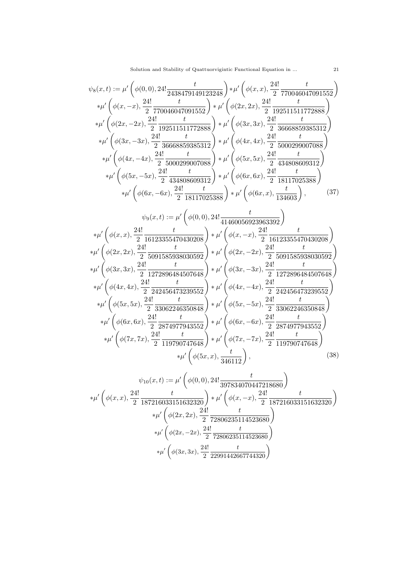Solution and Stability of Quattuorvigintic Functional Equation in ... 21

$$
\psi_{8}(x,t) := \mu' \left( \phi(0,0), 24! \frac{t}{2438479149123248} \right) * \mu' \left( \phi(x,x), \frac{24!}{2} \frac{t}{770046047091552} \right) \n* \mu' \left( \phi(x,-x), \frac{24!}{2} \frac{t}{770046047091552} \right) * \mu' \left( \phi(2x,2x), \frac{24!}{2} \frac{t}{192511511772888} \right) \n* \mu' \left( \phi(2x,-2x), \frac{24!}{2} \frac{t}{192511511772888} \right) * \mu' \left( \phi(3x,3x), \frac{24!}{2} \frac{t}{36666859385312} \right) \n* \mu' \left( \phi(3x,-3x), \frac{24!}{2} \frac{t}{36668859385312} \right) * \mu' \left( \phi(4x,4x), \frac{24!}{2} \frac{t}{5000299007088} \right) \n* \mu' \left( \phi(4x,-4x), \frac{24!}{2} \frac{t}{3600299007088} \right) * \mu' \left( \phi(5x,5x), \frac{24!}{2} \frac{t}{334808609312} \right) \n* \mu' \left( \phi(5x,-5x), \frac{24!}{2} \frac{t}{434808609312} \right) * \mu' \left( \phi(6x,6x), \frac{24!}{2} \frac{t}{18117025388} \right) \n* \mu' \left( \phi(6x,-6x), \frac{24!}{2} \frac{t}{18117025388} \right) * \mu' \left( \phi(6x,x), \frac{24!}{2} \frac{t}{18117025388} \right) \n* \mu' \left( \phi(x,x), \frac{24!}{2} \frac{t}{16123355470430208} \right) * \mu' \left( \phi(6x,-x), \frac{24!}{2} \frac{t}{1
$$

$$
\psi_{10}(x,t) := \mu' \left( \phi(0,0), 24! \frac{t}{397834070447218680} \right)
$$
  
\n
$$
*\mu' \left( \phi(x,x), \frac{24!}{2} \frac{t}{187216033151632320} \right) * \mu' \left( \phi(x,-x), \frac{24!}{2} \frac{t}{187216033151632320} \right)
$$
  
\n
$$
*\mu' \left( \phi(2x,2x), \frac{24!}{2} \frac{t}{72806235114523680} \right)
$$
  
\n
$$
*\mu' \left( \phi(2x,-2x), \frac{24!}{2} \frac{t}{72806235114523680} \right)
$$
  
\n
$$
*\mu' \left( \phi(3x,3x), \frac{24!}{2} \frac{t}{22991442667744320} \right)
$$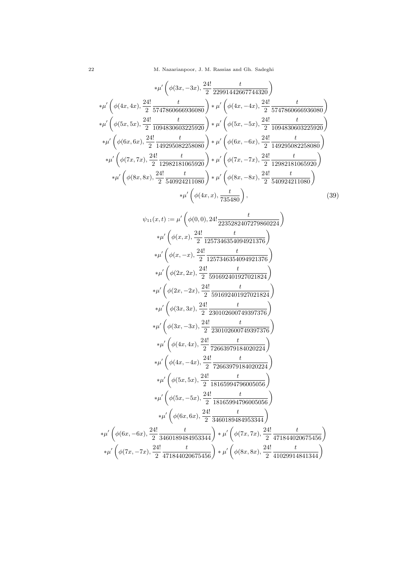$$
*\mu'\left(\phi(3x, -3x), \frac{24!}{2} \frac{t}{22991442667744320}\right)
$$
  
\n
$$
*\mu'\left(\phi(4x, 4x), \frac{24!}{2} \frac{t}{5747860666936080}\right) * \mu'\left(\phi(4x, -4x), \frac{24!}{2} \frac{t}{5747860666936080}\right)
$$
  
\n
$$
*\mu'\left(\phi(5x, 5x), \frac{24!}{2} \frac{t}{1094830603225920}\right) * \mu'\left(\phi(5x, -5x), \frac{24!}{2} \frac{t}{1094830603225920}\right)
$$
  
\n
$$
*\mu'\left(\phi(6x, 6x), \frac{24!}{2} \frac{t}{149295082258080}\right) * \mu'\left(\phi(6x, -6x), \frac{24!}{2} \frac{t}{149295082258080}\right)
$$
  
\n
$$
*\mu'\left(\phi(7x, 7x), \frac{24!}{2} \frac{t}{12982181065920}\right) * \mu'\left(\phi(7x, -7x), \frac{24!}{2} \frac{t}{12982181065920}\right)
$$
  
\n
$$
*\mu'\left(\phi(8x, 8x), \frac{24!}{2} \frac{t}{540924211080}\right) * \mu'\left(\phi(8x, -8x), \frac{24!}{2} \frac{t}{540924211080}\right)
$$
  
\n
$$
*\mu'\left(\phi(4x, x), \frac{t}{735480}\right),
$$
 (39)

$$
\psi_{11}(x,t) := \mu' \left( \phi(0,0), 24! \frac{t}{2235282407279860224} \right)
$$

$$
*\mu' \left( \phi(x,x), \frac{24!}{2} \frac{t}{1257346354094921376} \right)
$$

$$
*\mu' \left( \phi(x,-x), \frac{24!}{2} \frac{t}{1257346354094921376} \right)
$$

$$
*\mu' \left( \phi(2x,2x), \frac{24!}{2} \frac{t}{591692401927021824} \right)
$$

$$
*\mu' \left( \phi(2x,-2x), \frac{24!}{2} \frac{t}{591692401927021824} \right)
$$

$$
*\mu' \left( \phi(3x,3x), \frac{24!}{2} \frac{t}{230102600749397376} \right)
$$

$$
*\mu' \left( \phi(3x,-3x), \frac{24!}{2} \frac{t}{230102600749397376} \right)
$$

$$
*\mu' \left( \phi(4x,4x), \frac{24!}{2} \frac{t}{72663979184020224} \right)
$$

$$
*\mu' \left( \phi(4x,-4x), \frac{24!}{2} \frac{t}{72663979184020224} \right)
$$

$$
*\mu' \left( \phi(5x,5x), \frac{24!}{2} \frac{t}{18165994796005056} \right)
$$

$$
*\mu' \left( \phi(5x,-5x), \frac{24!}{2} \frac{t}{3165994796005056} \right)
$$

$$
*\mu' \left( \phi(6x,-5x), \frac{24!}{2} \frac{t}{3460189484953344} \right) * \mu' \left( \phi(7x,7x), \frac{24!}{2} \frac{t}{471844020675456} \right)
$$

$$
*\mu' \left( \phi(7x,-7x), \frac{24!}{2
$$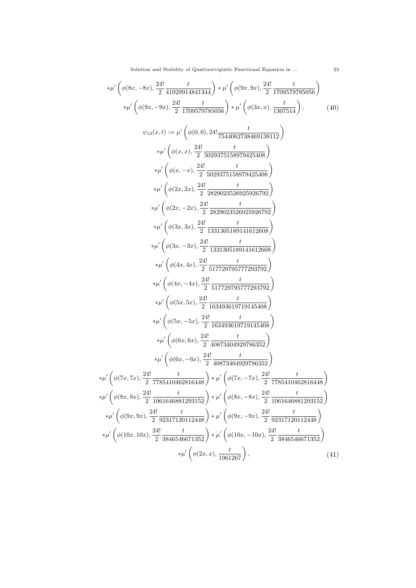Solution and Stability of Quattuorvigintic Functional Equation in ... 23

$$
\ast \mu' \left( \phi(8x, -8x), \frac{24!}{2} \frac{t}{41029914841344} \right) \ast \mu' \left( \phi(9x, 9x), \frac{24!}{2} \frac{t}{1709579785056} \right)
$$
\n
$$
\ast \mu' \left( \phi(9x, -9x), \frac{24!}{2} \frac{t}{1709579785056} \right) \ast \mu' \left( \phi(3x, x), \frac{t}{1307514} \right),
$$
\n
$$
\psi_{12}(x, t) := \mu' \left( \phi(0, 0), 24! \frac{t}{7544062738469138112} \right)
$$
\n
$$
\ast \mu' \left( \phi(x, x), \frac{24!}{2} \frac{t}{5029375158979425408} \right)
$$
\n
$$
\ast \mu' \left( \phi(x, -x), \frac{24!}{2} \frac{t}{5029375158979425408} \right)
$$
\n
$$
\ast \mu' \left( \phi(2x, 2x), \frac{24!}{2} \frac{t}{2829023526925926792} \right)
$$
\n
$$
\ast \mu' \left( \phi(2x, -2x), \frac{24!}{2} \frac{t}{2829023526925926792} \right)
$$
\n
$$
\ast \mu' \left( \phi(3x, 3x), \frac{24!}{2} \frac{t}{1331305189141612608} \right)
$$
\n
$$
\ast \mu' \left( \phi(4x, -3x), \frac{24!}{2} \frac{t}{517729795777293792} \right)
$$
\n
$$
\ast \mu' \left( \phi(4x, -4x), \frac{24!}{2} \frac{t}{517729795777293792} \right)
$$
\n
$$
\ast \mu' \left( \phi(5x, 5x), \frac{24!}{2} \frac{t}{1331305189141612608} \right)
$$
\n
$$
\ast \
$$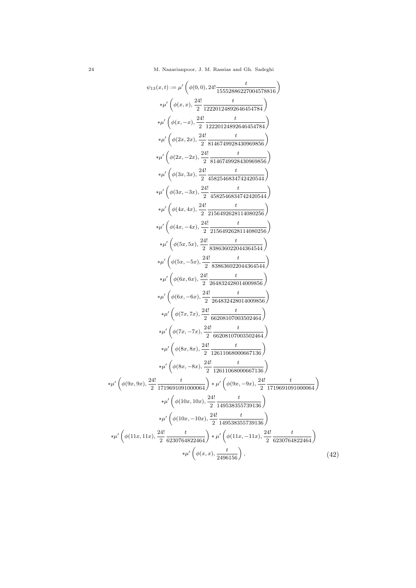$$
\psi_{13}(x,t) := \mu' \left( \phi(0,0), 24! \frac{t}{15552286227004578816} \right)
$$
\n
$$
* \mu' \left( \phi(x,x), \frac{24!}{2} \frac{t}{12220124892646454784} \right)
$$
\n
$$
* \mu' \left( \phi(x,-x), \frac{24!}{2} \frac{t}{122201248926436454784} \right)
$$
\n
$$
* \mu' \left( \phi(2x,2x), \frac{24!}{2} \frac{t}{8146749928430969856} \right)
$$
\n
$$
* \mu' \left( \phi(2x,-2x), \frac{24!}{2} \frac{t}{8146749928430969856} \right)
$$
\n
$$
* \mu' \left( \phi(3x,3x), \frac{24!}{2} \frac{t}{1582546834742420544} \right)
$$
\n
$$
* \mu' \left( \phi(3x,-3x), \frac{24!}{2} \frac{t}{1582546834742420544} \right)
$$
\n
$$
* \mu' \left( \phi(4x,-4x), \frac{24!}{2} \frac{t}{2156492628114080256} \right)
$$
\n
$$
* \mu' \left( \phi(4x,-4x), \frac{24!}{2} \frac{t}{2156492628114080256} \right)
$$
\n
$$
* \mu' \left( \phi(5x,-5x), \frac{24!}{2} \frac{t}{838636022044364544} \right)
$$
\n
$$
* \mu' \left( \phi(5x,-5x), \frac{24!}{2} \frac{t}{836636022044364544} \right)
$$
\n
$$
* \mu' \left( \phi(6x,-6x), \frac{24!}{2} \frac{t}{626830022044364544} \right)
$$
\n
$$
* \mu' \left( \phi(6x,-6x), \frac{2
$$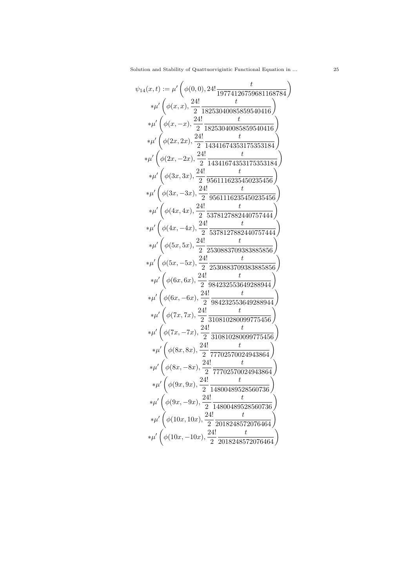$$
\psi_{14}(x,t) := \mu' \left( \phi(0,0), 24! \frac{t}{19774126759681168784} \right)
$$
\n
$$
\ast \mu' \left( \phi(x,x), \frac{24!}{2} \frac{t}{18253040085859540416} \right)
$$
\n
$$
\ast \mu' \left( \phi(x,-x), \frac{24!}{2} \frac{t}{18253040085859540416} \right)
$$
\n
$$
\ast \mu' \left( \phi(2x,2x), \frac{24!}{2} \frac{t}{14341674353175353184} \right)
$$
\n
$$
\ast \mu' \left( \phi(2x,-2x), \frac{24!}{2} \frac{t}{14341674353175353184} \right)
$$
\n
$$
\ast \mu' \left( \phi(3x,3x), \frac{24!}{2} \frac{1}{9561116235450235456} \right)
$$
\n
$$
\ast \mu' \left( \phi(3x,-3x), \frac{24!}{2} \frac{t}{9561116235450235456} \right)
$$
\n
$$
\ast \mu' \left( \phi(4x,4x), \frac{24!}{2} \frac{t}{5378127882440757444} \right)
$$
\n
$$
\ast \mu' \left( \phi(5x,5x), \frac{24!}{2} \frac{t}{2530883709383885856} \right)
$$
\n
$$
\ast \mu' \left( \phi(5x,-5x), \frac{24!}{2} \frac{t}{2530883709383885856} \right)
$$
\n
$$
\ast \mu' \left( \phi(6x,-5x), \frac{24!}{2} \frac{t}{2530883709383885856} \right)
$$
\n
$$
\ast \mu' \left( \phi(6x,-5x), \frac{24!}{2} \frac{t}{2530883709383885856} \right)
$$
\n
$$
\ast \mu' \left( \phi(6x,-5x),
$$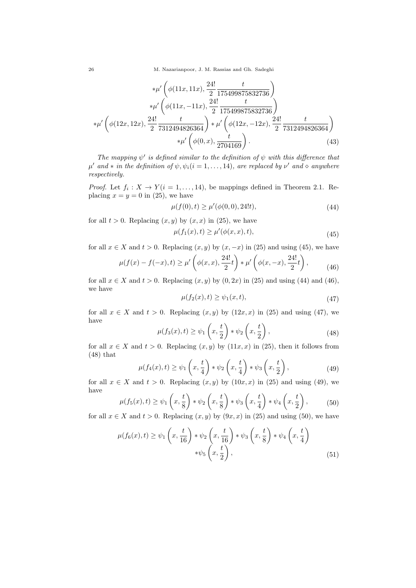26 M. Nazarianpoor, J. M. Rassias and Gh. Sadeghi

$$
*\mu'\left(\phi(11x, 11x), \frac{24!}{2} \frac{t}{175499875832736}\right) \n*\mu'\left(\phi(11x, -11x), \frac{24!}{2} \frac{t}{175499875832736}\right) \n*\mu'\left(\phi(12x, 12x), \frac{24!}{2} \frac{t}{7312494826364}\right) * \mu'\left(\phi(12x, -12x), \frac{24!}{2} \frac{t}{7312494826364}\right) \n*\mu'\left(\phi(0, x), \frac{t}{2704169}\right).
$$
\n(43)

The mapping  $\psi'$  is defined similar to the definition of  $\psi$  with this difference that  $\mu'$  and \* in the definition of  $\psi, \psi_i (i = 1, \ldots, 14)$ , are replaced by  $\nu'$  and  $\diamond$  anywhere respectively.

*Proof.* Let  $f_i: X \to Y (i = 1, ..., 14)$ , be mappings defined in Theorem 2.1. Replacing  $x = y = 0$  in (25), we have

$$
\mu(f(0), t) \ge \mu'(\phi(0, 0), 24!t),\tag{44}
$$

for all  $t > 0$ . Replacing  $(x, y)$  by  $(x, x)$  in (25), we have

$$
\mu(f_1(x), t) \ge \mu'(\phi(x, x), t),\tag{45}
$$

for all  $x \in X$  and  $t > 0$ . Replacing  $(x, y)$  by  $(x, -x)$  in (25) and using (45), we have

$$
\mu(f(x) - f(-x), t) \ge \mu' \left( \phi(x, x), \frac{24!}{2} t \right) * \mu' \left( \phi(x, -x), \frac{24!}{2} t \right), \tag{46}
$$

for all  $x \in X$  and  $t > 0$ . Replacing  $(x, y)$  by  $(0, 2x)$  in  $(25)$  and using  $(44)$  and  $(46)$ , we have

$$
\mu(f_2(x), t) \ge \psi_1(x, t),\tag{47}
$$

for all  $x \in X$  and  $t > 0$ . Replacing  $(x, y)$  by  $(12x, x)$  in  $(25)$  and using  $(47)$ , we have

$$
\mu(f_3(x), t) \ge \psi_1\left(x, \frac{t}{2}\right) * \psi_2\left(x, \frac{t}{2}\right),\tag{48}
$$

for all  $x \in X$  and  $t > 0$ . Replacing  $(x, y)$  by  $(11x, x)$  in  $(25)$ , then it follows from (48) that

$$
\mu(f_4(x), t) \ge \psi_1\left(x, \frac{t}{4}\right) * \psi_2\left(x, \frac{t}{4}\right) * \psi_3\left(x, \frac{t}{2}\right),\tag{49}
$$

for all  $x \in X$  and  $t > 0$ . Replacing  $(x, y)$  by  $(10x, x)$  in  $(25)$  and using  $(49)$ , we have

$$
\mu(f_5(x), t) \ge \psi_1\left(x, \frac{t}{8}\right) * \psi_2\left(x, \frac{t}{8}\right) * \psi_3\left(x, \frac{t}{4}\right) * \psi_4\left(x, \frac{t}{2}\right),\tag{50}
$$

for all  $x \in X$  and  $t > 0$ . Replacing  $(x, y)$  by  $(9x, x)$  in (25) and using (50), we have

$$
\mu(f_6(x), t) \ge \psi_1\left(x, \frac{t}{16}\right) * \psi_2\left(x, \frac{t}{16}\right) * \psi_3\left(x, \frac{t}{8}\right) * \psi_4\left(x, \frac{t}{4}\right)
$$
  
 
$$
* \psi_5\left(x, \frac{t}{2}\right), \tag{51}
$$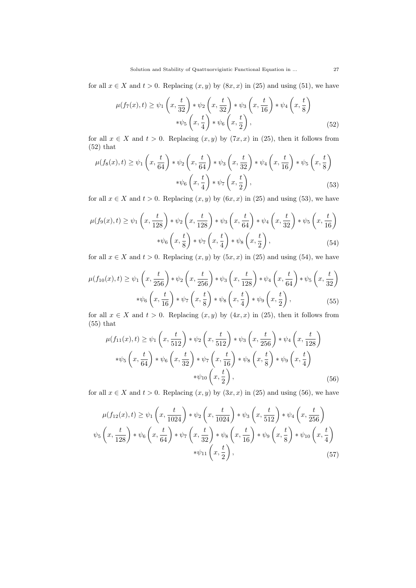for all  $x \in X$  and  $t > 0$ . Replacing  $(x, y)$  by  $(8x, x)$  in  $(25)$  and using  $(51)$ , we have

$$
\mu(f_7(x), t) \ge \psi_1\left(x, \frac{t}{32}\right) * \psi_2\left(x, \frac{t}{32}\right) * \psi_3\left(x, \frac{t}{16}\right) * \psi_4\left(x, \frac{t}{8}\right)
$$

$$
* \psi_5\left(x, \frac{t}{4}\right) * \psi_6\left(x, \frac{t}{2}\right), \tag{52}
$$

for all  $x \in X$  and  $t > 0$ . Replacing  $(x, y)$  by  $(7x, x)$  in (25), then it follows from (52) that

$$
\mu(f_8(x), t) \ge \psi_1\left(x, \frac{t}{64}\right) * \psi_2\left(x, \frac{t}{64}\right) * \psi_3\left(x, \frac{t}{32}\right) * \psi_4\left(x, \frac{t}{16}\right) * \psi_5\left(x, \frac{t}{8}\right)
$$

$$
* \psi_6\left(x, \frac{t}{4}\right) * \psi_7\left(x, \frac{t}{2}\right), \tag{53}
$$

for all  $x \in X$  and  $t > 0$ . Replacing  $(x, y)$  by  $(6x, x)$  in (25) and using (53), we have

$$
\mu(f_9(x), t) \ge \psi_1\left(x, \frac{t}{128}\right) * \psi_2\left(x, \frac{t}{128}\right) * \psi_3\left(x, \frac{t}{64}\right) * \psi_4\left(x, \frac{t}{32}\right) * \psi_5\left(x, \frac{t}{16}\right)
$$

$$
* \psi_6\left(x, \frac{t}{8}\right) * \psi_7\left(x, \frac{t}{4}\right) * \psi_8\left(x, \frac{t}{2}\right),\tag{54}
$$

for all  $x \in X$  and  $t > 0$ . Replacing  $(x, y)$  by  $(5x, x)$  in  $(25)$  and using  $(54)$ , we have

$$
\mu(f_{10}(x),t) \geq \psi_1\left(x,\frac{t}{256}\right) * \psi_2\left(x,\frac{t}{256}\right) * \psi_3\left(x,\frac{t}{128}\right) * \psi_4\left(x,\frac{t}{64}\right) * \psi_5\left(x,\frac{t}{32}\right)
$$

$$
* \psi_6\left(x,\frac{t}{16}\right) * \psi_7\left(x,\frac{t}{8}\right) * \psi_8\left(x,\frac{t}{4}\right) * \psi_9\left(x,\frac{t}{2}\right),\tag{55}
$$

for all  $x \in X$  and  $t > 0$ . Replacing  $(x, y)$  by  $(4x, x)$  in (25), then it follows from (55) that

$$
\mu(f_{11}(x),t) \geq \psi_1\left(x,\frac{t}{512}\right) * \psi_2\left(x,\frac{t}{512}\right) * \psi_3\left(x,\frac{t}{256}\right) * \psi_4\left(x,\frac{t}{128}\right)
$$

$$
* \psi_5\left(x,\frac{t}{64}\right) * \psi_6\left(x,\frac{t}{32}\right) * \psi_7\left(x,\frac{t}{16}\right) * \psi_8\left(x,\frac{t}{8}\right) * \psi_9\left(x,\frac{t}{4}\right)
$$

$$
* \psi_{10}\left(x,\frac{t}{2}\right),\tag{56}
$$

for all  $x \in X$  and  $t > 0$ . Replacing  $(x, y)$  by  $(3x, x)$  in  $(25)$  and using  $(56)$ , we have

$$
\mu(f_{12}(x), t) \ge \psi_1\left(x, \frac{t}{1024}\right) * \psi_2\left(x, \frac{t}{1024}\right) * \psi_3\left(x, \frac{t}{512}\right) * \psi_4\left(x, \frac{t}{256}\right)
$$
  

$$
\psi_5\left(x, \frac{t}{128}\right) * \psi_6\left(x, \frac{t}{64}\right) * \psi_7\left(x, \frac{t}{32}\right) * \psi_8\left(x, \frac{t}{16}\right) * \psi_9\left(x, \frac{t}{8}\right) * \psi_{10}\left(x, \frac{t}{4}\right)
$$
  

$$
*\psi_{11}\left(x, \frac{t}{2}\right),
$$
 (57)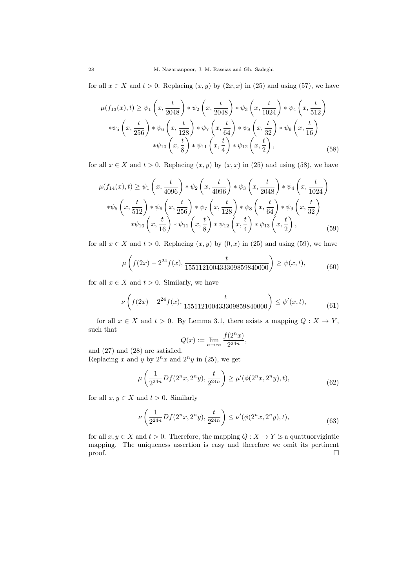for all  $x \in X$  and  $t > 0$ . Replacing  $(x, y)$  by  $(2x, x)$  in  $(25)$  and using  $(57)$ , we have

$$
\mu(f_{13}(x),t) \ge \psi_1\left(x,\frac{t}{2048}\right) * \psi_2\left(x,\frac{t}{2048}\right) * \psi_3\left(x,\frac{t}{1024}\right) * \psi_4\left(x,\frac{t}{512}\right) \n* \psi_5\left(x,\frac{t}{256}\right) * \psi_6\left(x,\frac{t}{128}\right) * \psi_7\left(x,\frac{t}{64}\right) * \psi_8\left(x,\frac{t}{32}\right) * \psi_9\left(x,\frac{t}{16}\right) \n* \psi_{10}\left(x,\frac{t}{8}\right) * \psi_{11}\left(x,\frac{t}{4}\right) * \psi_{12}\left(x,\frac{t}{2}\right),
$$
\n(58)

for all  $x \in X$  and  $t > 0$ . Replacing  $(x, y)$  by  $(x, x)$  in (25) and using (58), we have

$$
\mu(f_{14}(x),t) \geq \psi_1\left(x,\frac{t}{4096}\right) * \psi_2\left(x,\frac{t}{4096}\right) * \psi_3\left(x,\frac{t}{2048}\right) * \psi_4\left(x,\frac{t}{1024}\right) \n* \psi_5\left(x,\frac{t}{512}\right) * \psi_6\left(x,\frac{t}{256}\right) * \psi_7\left(x,\frac{t}{128}\right) * \psi_8\left(x,\frac{t}{64}\right) * \psi_9\left(x,\frac{t}{32}\right) \n* \psi_{10}\left(x,\frac{t}{16}\right) * \psi_{11}\left(x,\frac{t}{8}\right) * \psi_{12}\left(x,\frac{t}{4}\right) * \psi_{13}\left(x,\frac{t}{2}\right),
$$
\n(59)

for all  $x \in X$  and  $t > 0$ . Replacing  $(x, y)$  by  $(0, x)$  in (25) and using (59), we have

$$
\mu\left(f(2x) - 2^{24}f(x), \frac{t}{155112100433309859840000}\right) \ge \psi(x, t),\tag{60}
$$

for all  $x \in X$  and  $t > 0$ . Similarly, we have

$$
\nu\left(f(2x) - 2^{24}f(x), \frac{t}{155112100433309859840000}\right) \le \psi'(x, t),\tag{61}
$$

for all  $x \in X$  and  $t > 0$ . By Lemma 3.1, there exists a mapping  $Q: X \to Y$ , such that

$$
Q(x) := \lim_{n \to \infty} \frac{f(2^n x)}{2^{24n}},
$$

and (27) and (28) are satisfied.

Replacing x and y by  $2^n x$  and  $2^n y$  in (25), we get

$$
\mu\left(\frac{1}{2^{24n}}Df(2^n x, 2^n y), \frac{t}{2^{24n}}\right) \ge \mu'(\phi(2^n x, 2^n y), t),\tag{62}
$$

for all  $x, y \in X$  and  $t > 0$ . Similarly

$$
\nu\left(\frac{1}{2^{24n}}Df(2^nx, 2^ny), \frac{t}{2^{24n}}\right) \le \nu'(\phi(2^nx, 2^ny), t),\tag{63}
$$

for all  $x, y \in X$  and  $t > 0$ . Therefore, the mapping  $Q : X \to Y$  is a quattuor vigintic mapping. The uniqueness assertion is easy and therefore we omit its pertinent  $\Box$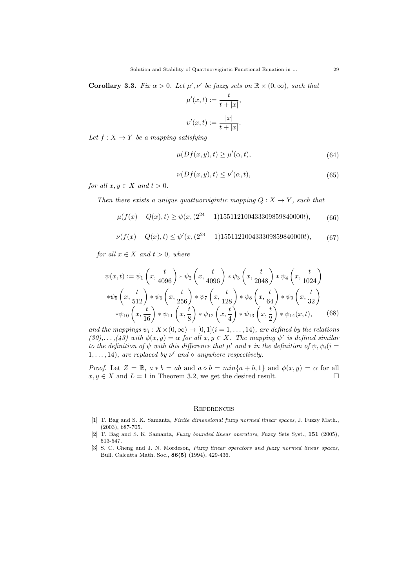**Corollary 3.3.** Fix  $\alpha > 0$ . Let  $\mu', \nu'$  be fuzzy sets on  $\mathbb{R} \times (0, \infty)$ , such that

$$
\mu'(x,t) := \frac{t}{t+|x|},
$$
  

$$
\nu'(x,t) := \frac{|x|}{t+|x|}.
$$

Let  $f: X \to Y$  be a mapping satisfying

$$
\mu(Df(x, y), t) \ge \mu'(\alpha, t),\tag{64}
$$

$$
\nu(Df(x,y),t) \le \nu'(\alpha,t),\tag{65}
$$

for all  $x, y \in X$  and  $t > 0$ .

Then there exists a unique quattuor vigintic mapping  $Q: X \to Y$ , such that

$$
\mu(f(x) - Q(x), t) \ge \psi(x, (2^{24} - 1)155112100433309859840000t), \tag{66}
$$

$$
\nu(f(x) - Q(x), t) \le \psi'(x, (2^{24} - 1)155112100433309859840000t),
$$
\n(67)

for all  $x \in X$  and  $t > 0$ , where

$$
\psi(x,t) := \psi_1\left(x, \frac{t}{4096}\right) * \psi_2\left(x, \frac{t}{4096}\right) * \psi_3\left(x, \frac{t}{2048}\right) * \psi_4\left(x, \frac{t}{1024}\right)
$$
  
\n
$$
* \psi_5\left(x, \frac{t}{512}\right) * \psi_6\left(x, \frac{t}{256}\right) * \psi_7\left(x, \frac{t}{128}\right) * \psi_8\left(x, \frac{t}{64}\right) * \psi_9\left(x, \frac{t}{32}\right)
$$
  
\n
$$
* \psi_{10}\left(x, \frac{t}{16}\right) * \psi_{11}\left(x, \frac{t}{8}\right) * \psi_{12}\left(x, \frac{t}{4}\right) * \psi_{13}\left(x, \frac{t}{2}\right) * \psi_{14}(x, t),
$$
 (68)

and the mappings  $\psi_i : X \times (0, \infty) \to [0, 1]$   $(i = 1, \ldots, 14)$ , are defined by the relations  $(30), \ldots, (43)$  with  $\phi(x, y) = \alpha$  for all  $x, y \in X$ . The mapping  $\psi'$  is defined similar to the definition of  $\psi$  with this difference that  $\mu'$  and  $*$  in the definition of  $\psi, \psi_i (i =$  $1, \ldots, 14$ , are replaced by  $\nu'$  and  $\diamond$  anywhere respectively.

*Proof.* Let  $Z = \mathbb{R}$ ,  $a * b = ab$  and  $a \diamond b = min\{a + b, 1\}$  and  $\phi(x, y) = \alpha$  for all  $x, y \in X$  and  $L = 1$  in Theorem 3.2, we get the desired result.

### **REFERENCES**

- [1] T. Bag and S. K. Samanta, Finite dimensional fuzzy normed linear spaces, J. Fuzzy Math., (2003), 687-705.
- [2] T. Bag and S. K. Samanta, Fuzzy bounded linear operators, Fuzzy Sets Syst., 151 (2005), 513-547.
- [3] S. C. Cheng and J. N. Mordeson, Fuzzy linear operators and fuzzy normed linear spaces, Bull. Calcutta Math. Soc., 86(5) (1994), 429-436.